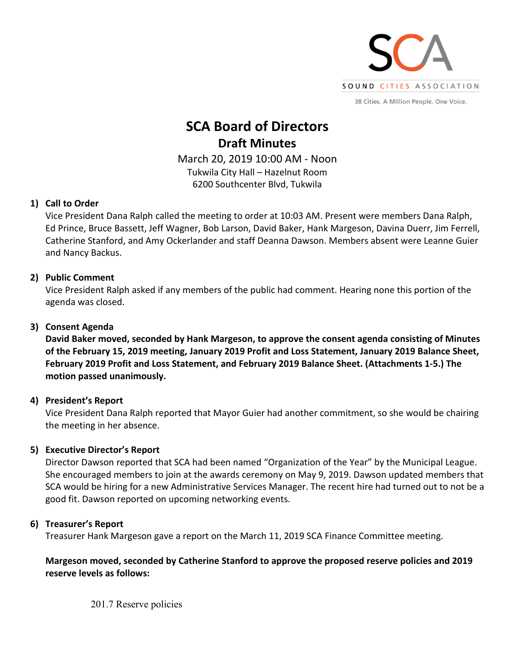

38 Cities. A Million People. One Voice.

# **SCA Board of Directors Draft Minutes**

March 20, 2019 10:00 AM - Noon Tukwila City Hall – Hazelnut Room 6200 Southcenter Blvd, Tukwila

# **1) Call to Order**

Vice President Dana Ralph called the meeting to order at 10:03 AM. Present were members Dana Ralph, Ed Prince, Bruce Bassett, Jeff Wagner, Bob Larson, David Baker, Hank Margeson, Davina Duerr, Jim Ferrell, Catherine Stanford, and Amy Ockerlander and staff Deanna Dawson. Members absent were Leanne Guier and Nancy Backus.

# **2) Public Comment**

Vice President Ralph asked if any members of the public had comment. Hearing none this portion of the agenda was closed.

# **3) Consent Agenda**

**David Baker moved, seconded by Hank Margeson, to approve the consent agenda consisting of Minutes of the February 15, 2019 meeting, January 2019 Profit and Loss Statement, January 2019 Balance Sheet, February 2019 Profit and Loss Statement, and February 2019 Balance Sheet. (Attachments 1-5.) The motion passed unanimously.** 

## **4) President's Report**

Vice President Dana Ralph reported that Mayor Guier had another commitment, so she would be chairing the meeting in her absence.

## **5) Executive Director's Report**

Director Dawson reported that SCA had been named "Organization of the Year" by the Municipal League. She encouraged members to join at the awards ceremony on May 9, 2019. Dawson updated members that SCA would be hiring for a new Administrative Services Manager. The recent hire had turned out to not be a good fit. Dawson reported on upcoming networking events.

## **6) Treasurer's Report**

Treasurer Hank Margeson gave a report on the March 11, 2019 SCA Finance Committee meeting.

# **Margeson moved, seconded by Catherine Stanford to approve the proposed reserve policies and 2019 reserve levels as follows:**

201.7 Reserve policies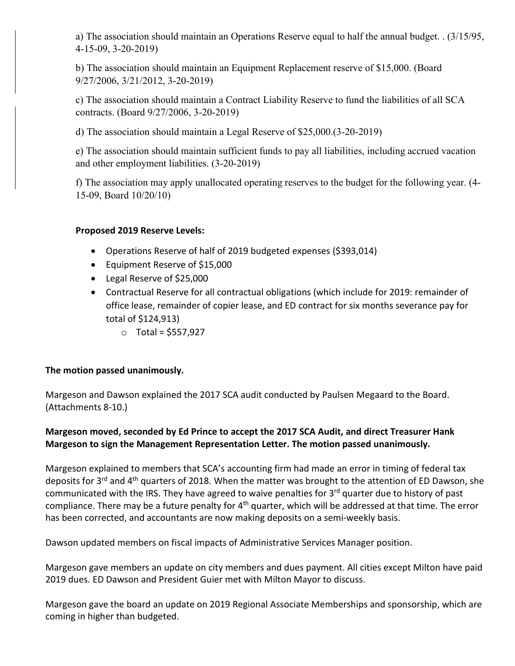a) The association should maintain an Operations Reserve equal to half the annual budget. . (3/15/95, 4-15-09, 3-20-2019)

b) The association should maintain an Equipment Replacement reserve of \$15,000. (Board 9/27/2006, 3/21/2012, 3-20-2019)

c) The association should maintain a Contract Liability Reserve to fund the liabilities of all SCA contracts. (Board 9/27/2006, 3-20-2019)

d) The association should maintain a Legal Reserve of \$25,000.(3-20-2019)

e) The association should maintain sufficient funds to pay all liabilities, including accrued vacation and other employment liabilities. (3-20-2019)

f) The association may apply unallocated operating reserves to the budget for the following year. (4- 15-09, Board 10/20/10)

#### **Proposed 2019 Reserve Levels:**

- Operations Reserve of half of 2019 budgeted expenses (\$393,014)
- Equipment Reserve of \$15,000
- Legal Reserve of \$25,000
- Contractual Reserve for all contractual obligations (which include for 2019: remainder of office lease, remainder of copier lease, and ED contract for six months severance pay for total of \$124,913)
	- o Total = \$557,927

## **The motion passed unanimously.**

Margeson and Dawson explained the 2017 SCA audit conducted by Paulsen Megaard to the Board. (Attachments 8-10.)

# **Margeson moved, seconded by Ed Prince to accept the 2017 SCA Audit, and direct Treasurer Hank Margeson to sign the Management Representation Letter. The motion passed unanimously.**

Margeson explained to members that SCA's accounting firm had made an error in timing of federal tax deposits for 3<sup>rd</sup> and 4<sup>th</sup> quarters of 2018. When the matter was brought to the attention of ED Dawson, she communicated with the IRS. They have agreed to waive penalties for 3<sup>rd</sup> quarter due to history of past compliance. There may be a future penalty for 4<sup>th</sup> quarter, which will be addressed at that time. The error has been corrected, and accountants are now making deposits on a semi-weekly basis.

Dawson updated members on fiscal impacts of Administrative Services Manager position.

Margeson gave members an update on city members and dues payment. All cities except Milton have paid 2019 dues. ED Dawson and President Guier met with Milton Mayor to discuss.

Margeson gave the board an update on 2019 Regional Associate Memberships and sponsorship, which are coming in higher than budgeted.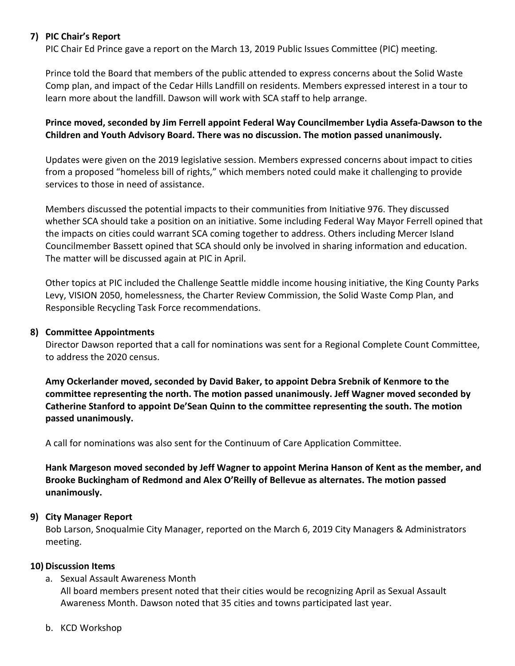## **7) PIC Chair's Report**

PIC Chair Ed Prince gave a report on the March 13, 2019 Public Issues Committee (PIC) meeting.

Prince told the Board that members of the public attended to express concerns about the Solid Waste Comp plan, and impact of the Cedar Hills Landfill on residents. Members expressed interest in a tour to learn more about the landfill. Dawson will work with SCA staff to help arrange.

## **Prince moved, seconded by Jim Ferrell appoint Federal Way Councilmember Lydia Assefa-Dawson to the Children and Youth Advisory Board. There was no discussion. The motion passed unanimously.**

Updates were given on the 2019 legislative session. Members expressed concerns about impact to cities from a proposed "homeless bill of rights," which members noted could make it challenging to provide services to those in need of assistance.

Members discussed the potential impacts to their communities from Initiative 976. They discussed whether SCA should take a position on an initiative. Some including Federal Way Mayor Ferrell opined that the impacts on cities could warrant SCA coming together to address. Others including Mercer Island Councilmember Bassett opined that SCA should only be involved in sharing information and education. The matter will be discussed again at PIC in April.

Other topics at PIC included the Challenge Seattle middle income housing initiative, the King County Parks Levy, VISION 2050, homelessness, the Charter Review Commission, the Solid Waste Comp Plan, and Responsible Recycling Task Force recommendations.

#### **8) Committee Appointments**

Director Dawson reported that a call for nominations was sent for a Regional Complete Count Committee, to address the 2020 census.

**Amy Ockerlander moved, seconded by David Baker, to appoint Debra Srebnik of Kenmore to the committee representing the north. The motion passed unanimously. Jeff Wagner moved seconded by Catherine Stanford to appoint De'Sean Quinn to the committee representing the south. The motion passed unanimously.**

A call for nominations was also sent for the Continuum of Care Application Committee.

**Hank Margeson moved seconded by Jeff Wagner to appoint Merina Hanson of Kent as the member, and Brooke Buckingham of Redmond and Alex O'Reilly of Bellevue as alternates. The motion passed unanimously.**

#### **9) City Manager Report**

Bob Larson, Snoqualmie City Manager, reported on the March 6, 2019 City Managers & Administrators meeting.

#### **10) Discussion Items**

- a. Sexual Assault Awareness Month All board members present noted that their cities would be recognizing April as Sexual Assault Awareness Month. Dawson noted that 35 cities and towns participated last year.
- b. KCD Workshop